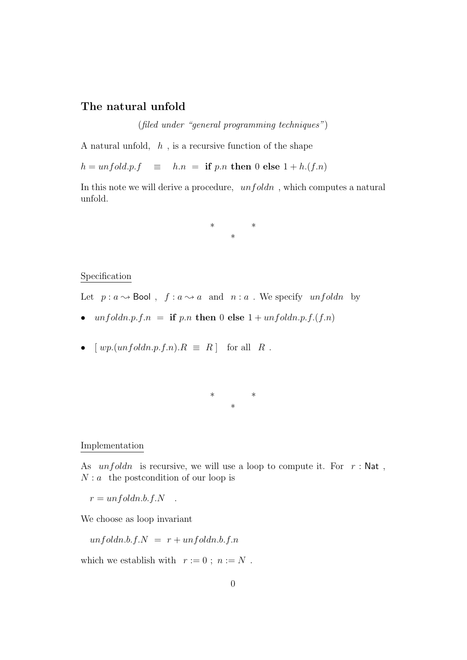## The natural unfold

(filed under "general programming techniques")

A natural unfold,  $h$ , is a recursive function of the shape

 $h = \text{unfold}.p.f \equiv h.n = \text{if } p.n \text{ then } 0 \text{ else } 1 + h.(f.n)$ 

In this note we will derive a procedure,  $unfoldn$ , which computes a natural unfold.

> \* \* \*

## Specification

Let  $p : a \rightarrow \mathsf{Bool}$ ,  $f : a \rightarrow a$  and  $n : a$ . We specify unfoldn by

- unfoldn.p.f.n = if p.n then 0 else  $1 + \text{unfoldn.p.f.}(f.n)$
- $[wp.(unfoldn.p.f.n).R \equiv R]$  for all R.

\* \* \*

## Implementation

As  $unfoldn$  is recursive, we will use a loop to compute it. For  $r : Nat$ ,  $N : a$  the postcondition of our loop is

 $r = \frac{unfoldn.b.f.N}{...}$ 

We choose as loop invariant

 $unfoldn.b.f.N = r + unfoldn.b.f.n$ 

which we establish with  $r := 0$ ;  $n := N$ .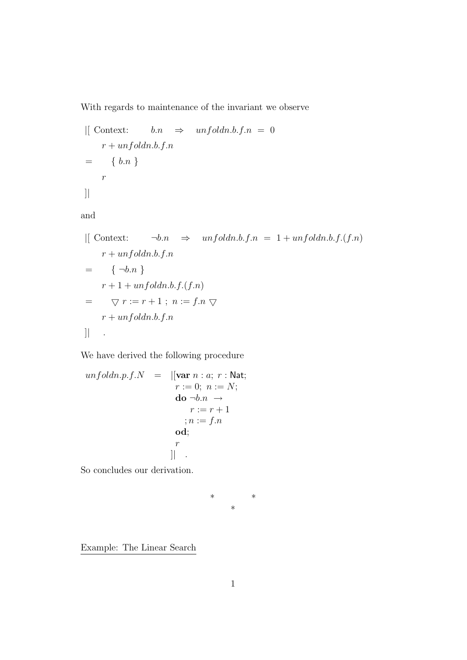With regards to maintenance of the invariant we observe

$$
\begin{array}{rcl}\n\text{[Context:} & b.n \Rightarrow \; \text{unfold}n.b.f.n = 0 \\
& r + \text{unfold}n.b.f.n \\
& = & \{ b.n \} \\
& r\n\end{array}
$$
\n
$$
\begin{array}{rcl}\n\text{[} & \text{if } b.n \text{]} & \text{if } b \text{]} & \text{if } b \text{]} & \text{if } b \text{]} & \text{if } b \text{ } \text{if } b \text{ } \text{if } b \text{ } \text{if } b \text{ } \text{if } b \text{ } \text{if } b \text{ } \text{if } b \text{ } \text{if } b \text{ } \text{if } b \text{ } \text{if } b \text{ } \text{if } b \text{ } \text{if } b \text{ } \text{if } b \text{ } \text{if } b \text{ } \text{if } b \text{ } \text{if } b \text{ } \text{if } b \text{ } \text{if } b \text{ } \text{if } b \text{ } \text{if } b \text{ } \text{if } b \text{ } \text{if } b \text{ } \text{if } b \text{ } \text{if } b \text{ } \text{if } b \text{ } \text{if } b \text{ } \text{if } b \text{ } \text{if } b \text{ } \text{if } b \text{ } \text{if } b \text{ } \text{if } b \text{ } \text{if } b \text{ } \text{if } b \text{ } \text{if } b \text{ } \text{if } b \text{ } \text{if } b \text{ } \text{if } b \text{ } \text{if } b \text{ } \text{if } b \text{ } \text{if } b \text{ } \text{if } b \text{ } \text{if } b \text{ } \text{if } b \text{ } \text{if } b \text{ } \text{if } b \text{ } \text{if } b \text{ } \text{if } b \text{ } \text{if } b \text{ } \text{if } b \text{ } \text{if } b \text{ } \text{if } b \text{ } \text{if } b \text{ } \text{if } b \text{ } \text{if } b \text{ } \text{if } b \text{ } \text{if } b \text{ } \text{if } b \text{ } \text{if } b \text{ } \text{if } b \text{ } \text{if } b \text{ } \text{if } b \text
$$

$$
\begin{array}{ll}\n\text{[I] Context:} & \neg b.n \Rightarrow \text{unfold}n.b.f.n = 1 + \text{unfold}n.b.f.(f.n) \\
\quad r + \text{unfold}n.b.f.n \\
= \{ \neg b.n \} \\
r + 1 + \text{unfold}n.b.f.(f.n) \\
= \nabla r := r + 1 \, ; \ n := f.n \, \nabla \\
r + \text{unfold}n.b.f.n \\
\quad \qquad \text{[I]} \quad .\n\end{array}
$$

We have derived the following procedure

$$
unfoldn.p.f.N = ||\mathbf{var} \ n : a; r : \mathsf{Nat};
$$
\n
$$
r := 0; \ n := N;
$$
\n
$$
\mathbf{do} \ \neg b.n \to
$$
\n
$$
r := r + 1
$$
\n
$$
; n := f.n
$$
\n
$$
\mathbf{od};
$$
\n
$$
r
$$
\n||

So concludes our derivation.

$$
\begin{matrix} * \\ * \end{matrix}
$$

Example: The Linear Search